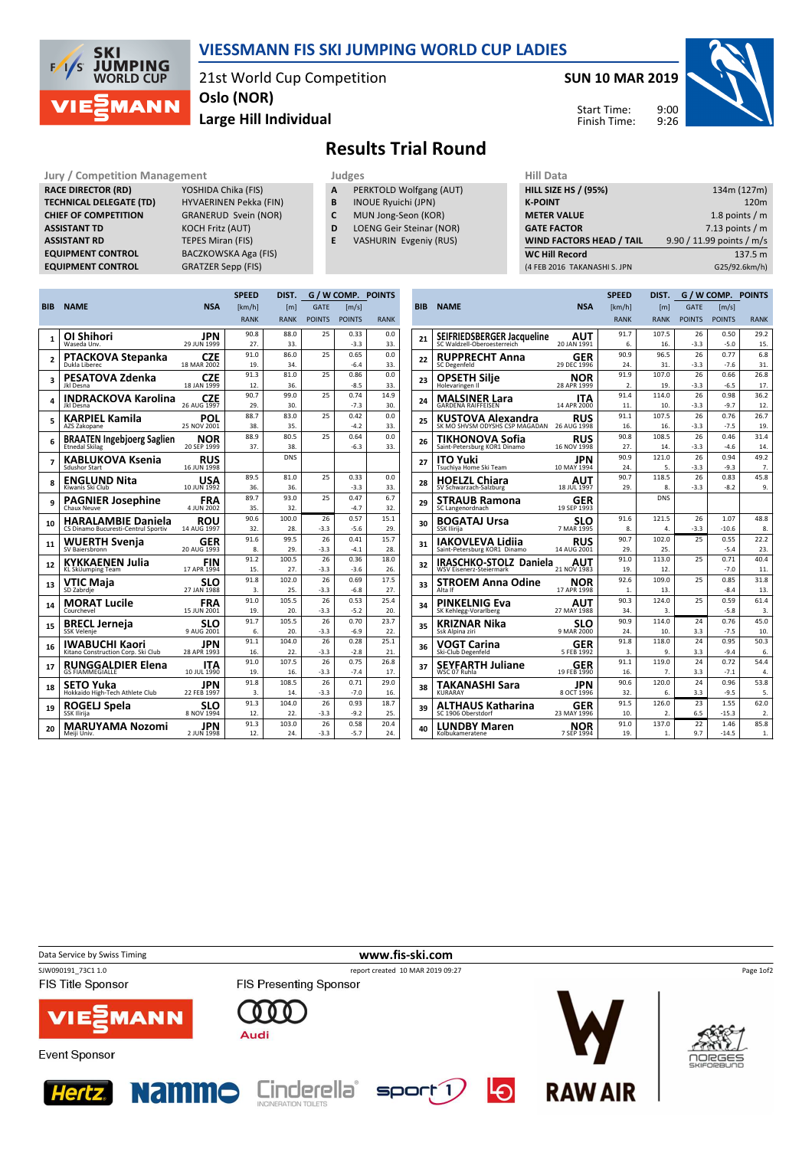

## VIESSMANN FIS SKI JUMPING WORLD CUP LADIES

21st World Cup Competition Large Hill Individual Oslo (NOR)

SUN 10 MAR 2019

Start Time: Finish Time:



## Results Trial Round

Jury / Competition Management<br> **RACE DIRECTOR (RD)** YOSHIDA Chika (FIS) **A** PERKTOLD Wolfgang (AUT) **HILL SIZE I** RACE DIRECTOR (RD) **TECHNICAL DELEGATE (TD)** HYVAERINEN Pekka (FIN)<br> **CHIEF OF COMPETITION** GRANERUD Svein (NOR) **ASSISTANT TD** KOCH Fritz (AUT) **ASSISTANT RD** TEPES Miran (FIS)<br> **EQUIPMENT CONTROL** BACZKOWSKA Aga EQUIPMENT CONTROL GRATZER Sepp (FIS)

GRANERUD Svein (NOR) BACZKOWSKA Aga (FIS)

- A PERKTOLD Wolfgang (AUT)
- **B** INOUE Ryuichi (JPN)<br>**C** MUN Jong-Seon (KO
- MUN Jong-Seon (KOR)
- D LOENG Geir Steinar (NOR)
- E VASHURIN Evgeniy (RUS)

| нш рата                         |                           |
|---------------------------------|---------------------------|
| <b>HILL SIZE HS / (95%)</b>     | 134m (127m)               |
| <b>K-POINT</b>                  | 120m                      |
| <b>METER VALUE</b>              | 1.8 points $/m$           |
| <b>GATE FACTOR</b>              | 7.13 points $/m$          |
| <b>WIND FACTORS HEAD / TAIL</b> | 9.90 / 11.99 points / m/s |
| <b>WC Hill Record</b>           | 137.5 m                   |
| (4 FEB 2016 TAKANASHI S. JPN    | G25/92.6km/h)             |
|                                 |                           |

|                |                                                            |                           | <b>SPEED</b> | DIST.        |               |                     | G / W COMP. POINTS |  |
|----------------|------------------------------------------------------------|---------------------------|--------------|--------------|---------------|---------------------|--------------------|--|
| <b>BIB</b>     | <b>NAME</b>                                                | <b>NSA</b>                | [km/h]       | [m]          | <b>GATE</b>   | $\lceil m/s \rceil$ |                    |  |
|                |                                                            |                           | <b>RANK</b>  | <b>RANK</b>  | <b>POINTS</b> | <b>POINTS</b>       | <b>RANK</b>        |  |
|                | OI Shihori                                                 | JPN                       | 90.8         | 88.0         | 25            | 0.33                | 0.0                |  |
| 1              | Waseda Unv.                                                | 29 JUN 1999               | 27.          | 33.          |               | $-3.3$              | 33.                |  |
| $\overline{2}$ | PTACKOVA Stepanka                                          | <b>CZE</b>                | 91.0         | 86.0         | 25            | 0.65                | 0.0                |  |
|                | Dukla Liberec                                              | 18 MAR 2002               | 19.          | 34.          |               | $-6.4$              | 33.                |  |
| 3              | PESATOVA Zdenka                                            | <b>CZE</b>                | 91.3         | 81.0         | 25            | 0.86                | 0.0                |  |
|                | <b>Ikl Desna</b>                                           | 18 JAN 1999               | 12.          | 36.          |               | $-8.5$              | 33.                |  |
| 4              | <b>INDRACKOVA Karolina</b>                                 | <b>CZE</b>                | 90.7         | 99.0         | 25            | 0.74                | 14.9               |  |
|                | <b>Ikl Desna</b>                                           | 26 AUG 1997               | 29.          | 30.          |               | $-7.3$              | 30.                |  |
| 5              | <b>KARPIEL Kamila</b><br>AZS Zakopane                      | <b>POL</b><br>25 NOV 2001 | 88.7<br>38.  | 83.0<br>35.  | 25            | 0.42<br>$-4.2$      | 0.0<br>33.         |  |
|                |                                                            |                           | 88.9         | 80.5         | 25            | 0.64                | 0.0                |  |
| 6              | <b>BRAATEN Ingebjoerg Saglien</b><br><b>Etnedal Skilag</b> | NOR<br>20 SEP 1999        | 37.          | 38.          |               | $-6.3$              | 33.                |  |
|                |                                                            |                           |              | <b>DNS</b>   |               |                     |                    |  |
| 7              | KABLUKOVA Ksenia<br>Sdushor Start                          | <b>RUS</b><br>16 JUN 1998 |              |              |               |                     |                    |  |
| 8              | <b>ENGLUND Nita</b>                                        | <b>USA</b>                | 89.5         | 81.0         | 25            | 0.33                | 0.0                |  |
|                | Kiwanis Ski Club                                           | 10 JUN 1992               | 36.          | 36.          |               | $-3.3$              | 33.                |  |
| 9              | <b>PAGNIER Josephine</b>                                   | FRA                       | 89.7         | 93.0         | 25            | 0.47                | 6.7                |  |
|                | Chaux Neuve                                                | 4 JUN 2002                | 35.          | 32.          |               | $-4.7$              | 32.                |  |
| 10             | <b>HARALAMBIE Daniela</b>                                  | ROU                       | 90.6         | 100.0        | 26            | 0.57                | 15.1               |  |
|                | CS Dinamo Bucuresti-Centrul Sportiv                        | 14 AUG 1997               | 32.          | 28.          | $-3.3$        | $-5.6$              | 29.                |  |
| 11             | WUERTH Svenia<br>SV Baiersbronn                            | GER<br>20 AUG 1993        | 91.6<br>8.   | 99.5<br>29.  | 26<br>$-3.3$  | 0.41<br>$-4.1$      | 15.7<br>28.        |  |
|                |                                                            |                           | 91.2         | 100.5        | 26            | 0.36                | 18.0               |  |
| 12             | <b>KYKKAENEN Julia</b><br>KL SkiJumping Team               | FIN<br>17 APR 1994        | 15.          | 27.          | $-3.3$        | $-3.6$              | 26.                |  |
|                | VTIC Maia                                                  |                           | 91.8         | 102.0        | 26            | 0.69                | 17.5               |  |
| 13             | SD Zabrdje                                                 | <b>SLO</b><br>27 JAN 1988 | 3.           | 25.          | $-3.3$        | $-6.8$              | 27.                |  |
|                | <b>MORAT Lucile</b>                                        | FRA                       | 91.0         | 105.5        | 26            | 0.53                | 25.4               |  |
| 14             | Courchevel                                                 | 15 JUN 2001               | 19.          | 20.          | $-3.3$        | $-5.2$              | 20.                |  |
| 15             | <b>BRECL Jerneja</b>                                       | <b>SLO</b><br>9 AUG 2001  | 91.7         | 105.5        | 26            | 0.70                | 23.7               |  |
|                | <b>SSK Velenje</b>                                         |                           | 6.           | 20.          | $-3.3$        | $-6.9$              | 22.                |  |
| 16             | <b>IWABUCHI Kaori</b>                                      | JPN                       | 91.1         | 104.0        | 26            | 0.28                | 25.1               |  |
|                | Kitano Construction Corp. Ski Club                         | 28 APR 1993               | 16.          | 22.          | $-3.3$        | $-2.8$              | 21.                |  |
| 17             | <b>RUNGGALDIER Elena</b>                                   | ITA                       | 91.0         | 107.5        | 26            | 0.75                | 26.8               |  |
|                | <b>GS FIAMMEGIALLE</b>                                     | 10 JUL 1990               | 19.          | 16.          | $-3.3$        | $-7.4$              | 17.                |  |
| 18             | SETO Yuka<br>Hokkaido High-Tech Athlete Club               | JPN<br>22 FEB 1997        | 91.8<br>3.   | 108.5<br>14. | 26<br>$-3.3$  | 0.71<br>$-7.0$      | 29.0<br>16.        |  |
|                |                                                            |                           | 91.3         | 104.0        | 26            | 0.93                | 18.7               |  |
| 19             | <b>ROGELJ Spela</b><br><b>SSK Ilirija</b>                  | SLO<br>8 NOV 1994         | 12.          | 22.          | $-3.3$        | $-9.2$              | 25.                |  |
|                |                                                            |                           | 91.3         | 103.0        | 26            | 0.58                | 20.4               |  |
| 20             | <b>MARUYAMA Nozomi</b><br>Meiji Univ.                      | JPN<br>2 JUN 1998         | 12.          | 24.          | $-3.3$        | $-5.7$              | 24.                |  |
|                |                                                            |                           |              |              |               |                     |                    |  |

|            |                                                   |                           | <b>SPEED</b>     | DIST.            |               |                     | G / W COMP. POINTS |
|------------|---------------------------------------------------|---------------------------|------------------|------------------|---------------|---------------------|--------------------|
| <b>BIB</b> | <b>NAME</b>                                       | <b>NSA</b>                | [km/h]           | [m]              | <b>GATE</b>   | $\lceil m/s \rceil$ |                    |
|            |                                                   |                           | <b>RANK</b>      | <b>RANK</b>      | <b>POINTS</b> | <b>POINTS</b>       | <b>RANK</b>        |
|            | SEIFRIEDSBERGER Jacqueline                        | AUT                       | 91.7             | 107.5            | 26            | 0.50                | 29.2               |
| 21         | SC Waldzell-Oberoesterreich                       | 20 JAN 1991               | 6.               | 16.              | $-3.3$        | $-5.0$              | 15.                |
| 22         | <b>RUPPRECHT Anna</b>                             | GER                       | 90.9             | 96.5             | 26            | 0.77                | 6.8                |
|            | <b>SC Degenfeld</b>                               | 29 DEC 1996               | 24.              | 31.              | $-3.3$        | $-7.6$              | 31.                |
| 23         | OPSETH Silie                                      | NOR                       | 91.9             | 107.0            | 26            | 0.66                | 26.8               |
|            | Holevaringen II                                   | 28 APR 1999               | $\overline{2}$ . | 19.              | $-3.3$        | $-6.5$              | 17.                |
| 24         | <b>MALSINER Lara</b><br><b>GARDENA RAIFFEISEN</b> | ITA<br>14 APR 2000        | 91.4<br>11.      | 114.0<br>10.     | 26<br>$-3.3$  | 0.98<br>$-9.7$      | 36.2<br>12.        |
|            | <b>KUSTOVA Alexandra</b>                          | <b>RUS</b>                | 91.1             | 107.5            | 26            | 0.76                | 26.7               |
| 25         | SK MO SHVSM ODYSHS CSP MAGADAN                    | 26 AUG 1998               | 16.              | 16.              | $-3.3$        | $-7.5$              | 19.                |
|            | TIKHONOVA Sofia                                   | RUS                       | 90.8             | 108.5            | 26            | 0.46                | 31.4               |
| 26         | Saint-Petersburg KOR1 Dinamo                      | 16 NOV 1998               | 27.              | 14.              | $-3.3$        | $-4.6$              | 14.                |
| 27         | ITO Yuki                                          | JPN                       | 90.9             | 121.0            | 26            | 0.94                | 49.2               |
|            | Tsuchiya Home Ski Team                            | 10 MAY 1994               | 24.              | 5.               | $-3.3$        | $-9.3$              | 7.                 |
| 28         | <b>HOELZL Chiara</b>                              | AUT                       | 90.7             | 118.5            | 26            | 0.83                | 45.8               |
|            | SV Schwarzach-Salzburg                            | 18 JUL 1997               | 29.              | 8.               | $-3.3$        | $-8.2$              | 9.                 |
| 29         | <b>STRAUB Ramona</b><br>SC Langenordnach          | <b>GER</b><br>19 SEP 1993 |                  | <b>DNS</b>       |               |                     |                    |
| 30         | <b>BOGATAJ Ursa</b>                               | SLO                       | 91.6             | 121.5            | 26            | 1.07                | 48.8               |
|            | SSK Ilirija                                       | 7 MAR 1995                | 8.               | 4.               | $-3.3$        | $-10.6$             | 8.                 |
| 31         | IAKOVLEVA Lidiia                                  | RUS                       | 90.7             | 102.0            | 25            | 0.55                | 22.2               |
|            | Saint-Petersburg KOR1 Dinamo                      | 14 AUG 2001               | 29.              | 25.              |               | $-5.4$              | 23.                |
| 32         | IRASCHKO-STOLZ Daniela                            | AUT                       | 91.0             | 113.0            | 25            | 0.71                | 40.4               |
|            | <b>WSV Eisenerz-Steiermark</b>                    | 21 NOV 1983               | 19.              | 12.              |               | $-7.0$              | 11.                |
| 33         | <b>STROEM Anna Odine</b>                          | NOR                       | 92.6             | 109.0            | 25            | 0.85                | 31.8               |
|            | Alta If                                           | 17 APR 1998               | 1.               | 13.              |               | $-8.4$              | 13.                |
| 34         | <b>PINKELNIG Eva</b><br>SK Kehlegg-Vorarlberg     | AUT<br>27 MAY 1988        | 90.3<br>34.      | 124.0<br>3.      | 25            | 0.59<br>$-5.8$      | 61.4<br>3.         |
|            |                                                   |                           | 90.9             | 114.0            | 24            | 0.76                | 45.0               |
| 35         | <b>KRIZNAR Nika</b><br>Ssk Alpina ziri            | SLO<br>9 MAR 2000         | 24.              | 10.              | 3.3           | $-7.5$              | 10.                |
|            |                                                   |                           | 91.8             | 118.0            | 24            | 0.95                | 50.3               |
| 36         | VOGT Carina<br>Ski-Club Degenfeld                 | GER<br>5 FEB 1992         | 3.               | 9.               | 3.3           | $-9.4$              | 6.                 |
|            | <b>SEYFARTH Juliane</b>                           | <b>GER</b>                | 91.1             | 119.0            | 24            | 0.72                | 54.4               |
| 37         | WSC 07 Ruhla                                      | 19 FEB 1990               | 16.              | 7.               | 3.3           | $-7.1$              | 4.                 |
| 38         | TAKANASHI Sara                                    | <b>JPN</b>                | 90.6             | 120.0            | 24            | 0.96                | 53.8               |
|            | <b>KURARAY</b>                                    | 8 OCT 1996                | 32.              | 6.               | 3.3           | $-9.5$              | 5.                 |
| 39         | ALTHAUS Katharina                                 | GER                       | 91.5             | 126.0            | 23            | 1.55                | 62.0               |
|            | SC 1906 Oberstdorf                                | 23 MAY 1996               | 10.              | $\overline{2}$ . | 6.5           | $-15.3$             | 2.                 |
| 40         | LUNDBY Maren                                      | NOR                       | 91.0             | 137.0            | 22            | 1.46                | 85.8               |
|            | Kolbukameratene                                   | 7 SEP 1994                | 19.              | 1.               | 9.7           | $-14.5$             | 1.                 |